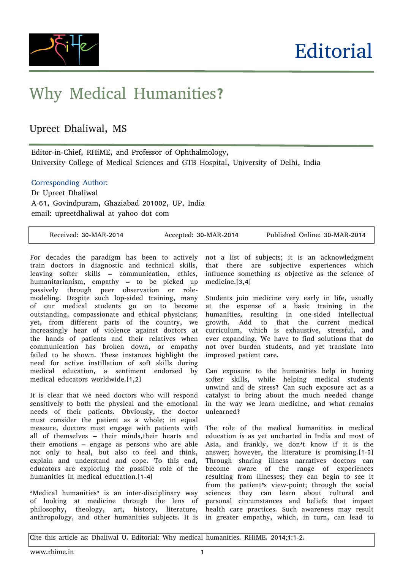

## Why Medical Humanities?

## Upreet Dhaliwal, MS

Editor-in-Chief, RHiME, and Professor of Ophthalmology, University College of Medical Sciences and GTB Hospital, University of Delhi, India

Corresponding Author:

Dr Upreet Dhaliwal A-61, Govindpuram, Ghaziabad 201002, UP, India email: upreetdhaliwal at yahoo dot com

|  | Received: 30-MAR-2014 | Accepted: 30-MAR-2014 | Published Online: 30-MAR-2014 |
|--|-----------------------|-----------------------|-------------------------------|
|--|-----------------------|-----------------------|-------------------------------|

For decades the paradigm has been to actively train doctors in diagnostic and technical skills, leaving softer skills – communication, ethics, humanitarianism, empathy – to be picked up passively through peer observation or rolemodeling. Despite such lop-sided training, many of our medical students go on to become outstanding, compassionate and ethical physicians; yet, from different parts of the country, we increasingly hear of violence against doctors at the hands of patients and their relatives when communication has broken down, or empathy failed to be shown. These instances highlight the need for active instillation of soft skills during medical education, a sentiment endorsed by medical educators worldwide.[1,2]

It is clear that we need doctors who will respond sensitively to both the physical and the emotional needs of their patients. Obviously, the doctor must consider the patient as a whole; in equal measure, doctors must engage with patients with all of themselves – their minds,their hearts and their emotions – engage as persons who are able not only to heal, but also to feel and think, explain and understand and cope. To this end, educators are exploring the possible role of the humanities in medical education.[1-4]

'Medical humanities' is an inter-disciplinary way of looking at medicine through the lens of philosophy, theology, art, history, literature, anthropology, and other humanities subjects. It is in greater empathy, which, in turn, can lead to

not a list of subjects; it is an acknowledgment that there are subjective experiences which influence something as objective as the science of medicine.[3,4]

Students join medicine very early in life, usually at the expense of a basic training in the humanities, resulting in one-sided intellectual growth. Add to that the current medical curriculum, which is exhaustive, stressful, and ever expanding. We have to find solutions that do not over burden students, and yet translate into improved patient care.

Can exposure to the humanities help in honing softer skills, while helping medical students unwind and de stress? Can such exposure act as a catalyst to bring about the much needed change in the way we learn medicine, and what remains unlearned?

The role of the medical humanities in medical education is as yet uncharted in India and most of Asia, and frankly, we don't know if it is the answer; however, the literature is promising.[1-5] Through sharing illness narratives doctors can become aware of the range of experiences resulting from illnesses; they can begin to see it from the patient's view-point; through the social sciences they can learn about cultural and personal circumstances and beliefs that impact health care practices. Such awareness may result

Cite this article as: Dhaliwal U. Editorial: Why medical humanities. RHiME. 2014;1:1-2.